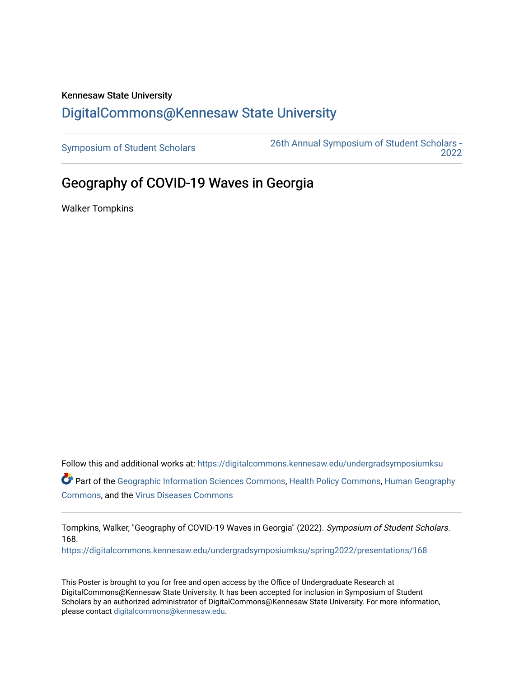## Kennesaw State University [DigitalCommons@Kennesaw State University](https://digitalcommons.kennesaw.edu/)

[Symposium of Student Scholars](https://digitalcommons.kennesaw.edu/undergradsymposiumksu) [26th Annual Symposium of Student Scholars -](https://digitalcommons.kennesaw.edu/undergradsymposiumksu/spring2022)  [2022](https://digitalcommons.kennesaw.edu/undergradsymposiumksu/spring2022) 

## Geography of COVID-19 Waves in Georgia

Walker Tompkins

Follow this and additional works at: [https://digitalcommons.kennesaw.edu/undergradsymposiumksu](https://digitalcommons.kennesaw.edu/undergradsymposiumksu?utm_source=digitalcommons.kennesaw.edu%2Fundergradsymposiumksu%2Fspring2022%2Fpresentations%2F168&utm_medium=PDF&utm_campaign=PDFCoverPages)  Part of the [Geographic Information Sciences Commons,](http://network.bepress.com/hgg/discipline/358?utm_source=digitalcommons.kennesaw.edu%2Fundergradsymposiumksu%2Fspring2022%2Fpresentations%2F168&utm_medium=PDF&utm_campaign=PDFCoverPages) [Health Policy Commons,](http://network.bepress.com/hgg/discipline/395?utm_source=digitalcommons.kennesaw.edu%2Fundergradsymposiumksu%2Fspring2022%2Fpresentations%2F168&utm_medium=PDF&utm_campaign=PDFCoverPages) [Human Geography](http://network.bepress.com/hgg/discipline/356?utm_source=digitalcommons.kennesaw.edu%2Fundergradsymposiumksu%2Fspring2022%2Fpresentations%2F168&utm_medium=PDF&utm_campaign=PDFCoverPages) [Commons](http://network.bepress.com/hgg/discipline/356?utm_source=digitalcommons.kennesaw.edu%2Fundergradsymposiumksu%2Fspring2022%2Fpresentations%2F168&utm_medium=PDF&utm_campaign=PDFCoverPages), and the [Virus Diseases Commons](http://network.bepress.com/hgg/discipline/998?utm_source=digitalcommons.kennesaw.edu%2Fundergradsymposiumksu%2Fspring2022%2Fpresentations%2F168&utm_medium=PDF&utm_campaign=PDFCoverPages) 

Tompkins, Walker, "Geography of COVID-19 Waves in Georgia" (2022). Symposium of Student Scholars. 168.

[https://digitalcommons.kennesaw.edu/undergradsymposiumksu/spring2022/presentations/168](https://digitalcommons.kennesaw.edu/undergradsymposiumksu/spring2022/presentations/168?utm_source=digitalcommons.kennesaw.edu%2Fundergradsymposiumksu%2Fspring2022%2Fpresentations%2F168&utm_medium=PDF&utm_campaign=PDFCoverPages)

This Poster is brought to you for free and open access by the Office of Undergraduate Research at DigitalCommons@Kennesaw State University. It has been accepted for inclusion in Symposium of Student Scholars by an authorized administrator of DigitalCommons@Kennesaw State University. For more information, please contact [digitalcommons@kennesaw.edu.](mailto:digitalcommons@kennesaw.edu)